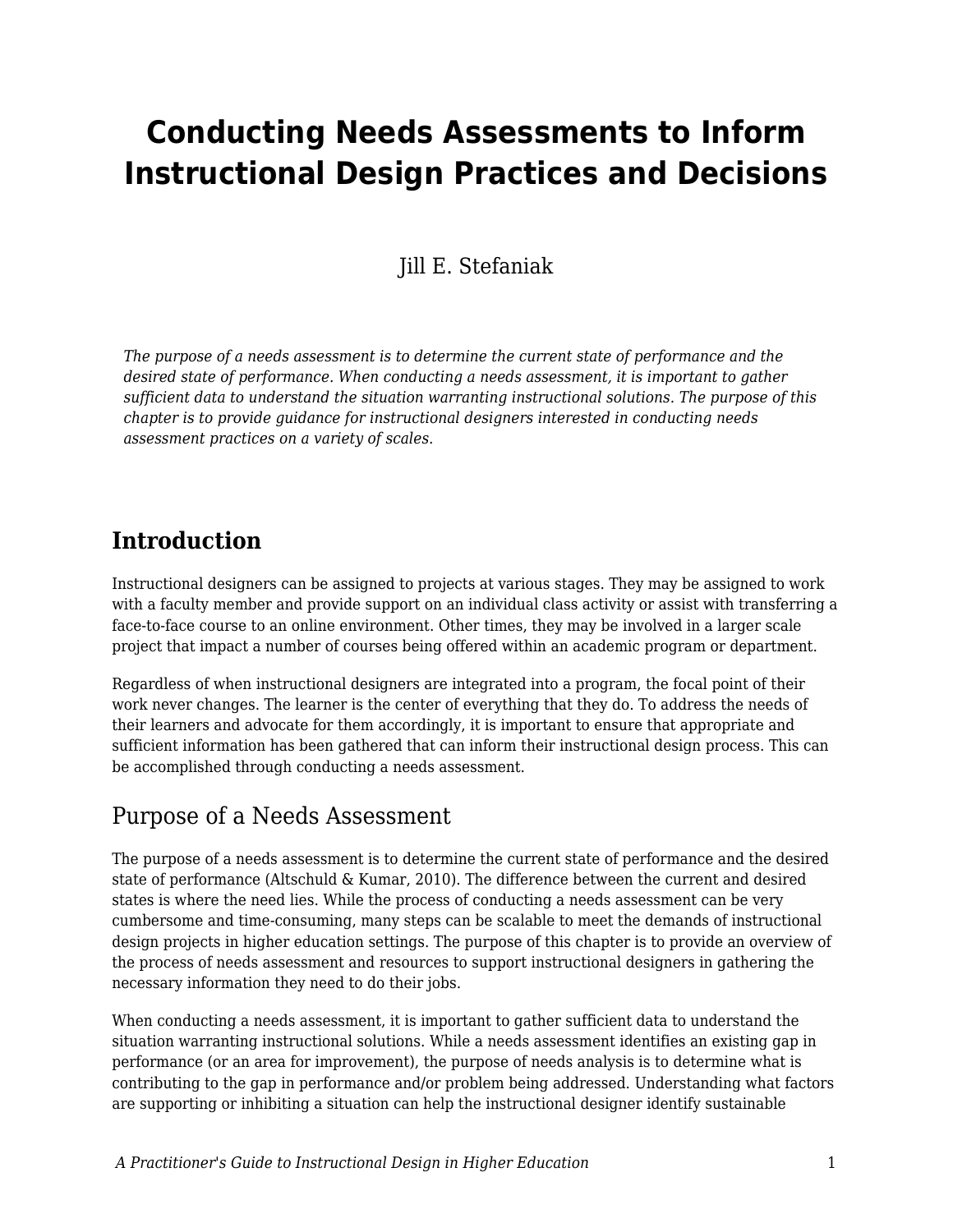# **Conducting Needs Assessments to Inform Instructional Design Practices and Decisions**

## Jill E. Stefaniak

*The purpose of a needs assessment is to determine the current state of performance and the desired state of performance. When conducting a needs assessment, it is important to gather sufficient data to understand the situation warranting instructional solutions. The purpose of this chapter is to provide guidance for instructional designers interested in conducting needs assessment practices on a variety of scales.*

## **Introduction**

Instructional designers can be assigned to projects at various stages. They may be assigned to work with a faculty member and provide support on an individual class activity or assist with transferring a face-to-face course to an online environment. Other times, they may be involved in a larger scale project that impact a number of courses being offered within an academic program or department.

Regardless of when instructional designers are integrated into a program, the focal point of their work never changes. The learner is the center of everything that they do. To address the needs of their learners and advocate for them accordingly, it is important to ensure that appropriate and sufficient information has been gathered that can inform their instructional design process. This can be accomplished through conducting a needs assessment.

## Purpose of a Needs Assessment

The purpose of a needs assessment is to determine the current state of performance and the desired state of performance (Altschuld & Kumar, 2010). The difference between the current and desired states is where the need lies. While the process of conducting a needs assessment can be very cumbersome and time-consuming, many steps can be scalable to meet the demands of instructional design projects in higher education settings. The purpose of this chapter is to provide an overview of the process of needs assessment and resources to support instructional designers in gathering the necessary information they need to do their jobs.

When conducting a needs assessment, it is important to gather sufficient data to understand the situation warranting instructional solutions. While a needs assessment identifies an existing gap in performance (or an area for improvement), the purpose of needs analysis is to determine what is contributing to the gap in performance and/or problem being addressed. Understanding what factors are supporting or inhibiting a situation can help the instructional designer identify sustainable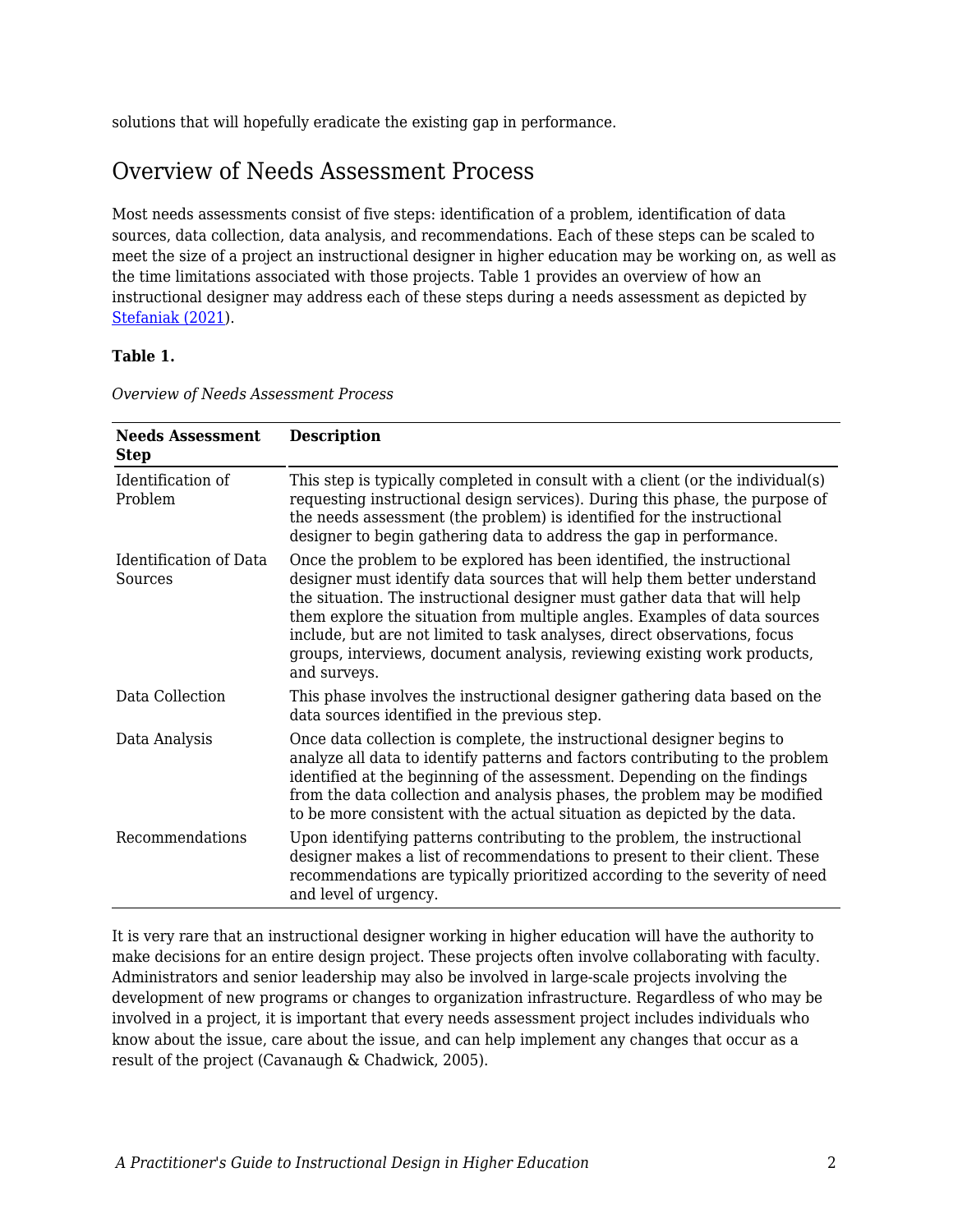solutions that will hopefully eradicate the existing gap in performance.

## Overview of Needs Assessment Process

Most needs assessments consist of five steps: identification of a problem, identification of data sources, data collection, data analysis, and recommendations. Each of these steps can be scaled to meet the size of a project an instructional designer in higher education may be working on, as well as the time limitations associated with those projects. Table 1 provides an overview of how an instructional designer may address each of these steps during a needs assessment as depicted by [Stefaniak \(2021\)](https://edtechbooks.org/id/needs_analysis).

#### **Table 1.**

| <b>Needs Assessment</b><br><b>Step</b> | <b>Description</b>                                                                                                                                                                                                                                                                                                                                                                                                                                                                     |
|----------------------------------------|----------------------------------------------------------------------------------------------------------------------------------------------------------------------------------------------------------------------------------------------------------------------------------------------------------------------------------------------------------------------------------------------------------------------------------------------------------------------------------------|
| Identification of<br>Problem           | This step is typically completed in consult with a client (or the individual(s)<br>requesting instructional design services). During this phase, the purpose of<br>the needs assessment (the problem) is identified for the instructional<br>designer to begin gathering data to address the gap in performance.                                                                                                                                                                       |
| Identification of Data<br>Sources      | Once the problem to be explored has been identified, the instructional<br>designer must identify data sources that will help them better understand<br>the situation. The instructional designer must gather data that will help<br>them explore the situation from multiple angles. Examples of data sources<br>include, but are not limited to task analyses, direct observations, focus<br>groups, interviews, document analysis, reviewing existing work products,<br>and surveys. |
| Data Collection                        | This phase involves the instructional designer gathering data based on the<br>data sources identified in the previous step.                                                                                                                                                                                                                                                                                                                                                            |
| Data Analysis                          | Once data collection is complete, the instructional designer begins to<br>analyze all data to identify patterns and factors contributing to the problem<br>identified at the beginning of the assessment. Depending on the findings<br>from the data collection and analysis phases, the problem may be modified<br>to be more consistent with the actual situation as depicted by the data.                                                                                           |
| Recommendations                        | Upon identifying patterns contributing to the problem, the instructional<br>designer makes a list of recommendations to present to their client. These<br>recommendations are typically prioritized according to the severity of need<br>and level of urgency.                                                                                                                                                                                                                         |

It is very rare that an instructional designer working in higher education will have the authority to make decisions for an entire design project. These projects often involve collaborating with faculty. Administrators and senior leadership may also be involved in large-scale projects involving the development of new programs or changes to organization infrastructure. Regardless of who may be involved in a project, it is important that every needs assessment project includes individuals who know about the issue, care about the issue, and can help implement any changes that occur as a result of the project (Cavanaugh & Chadwick, 2005).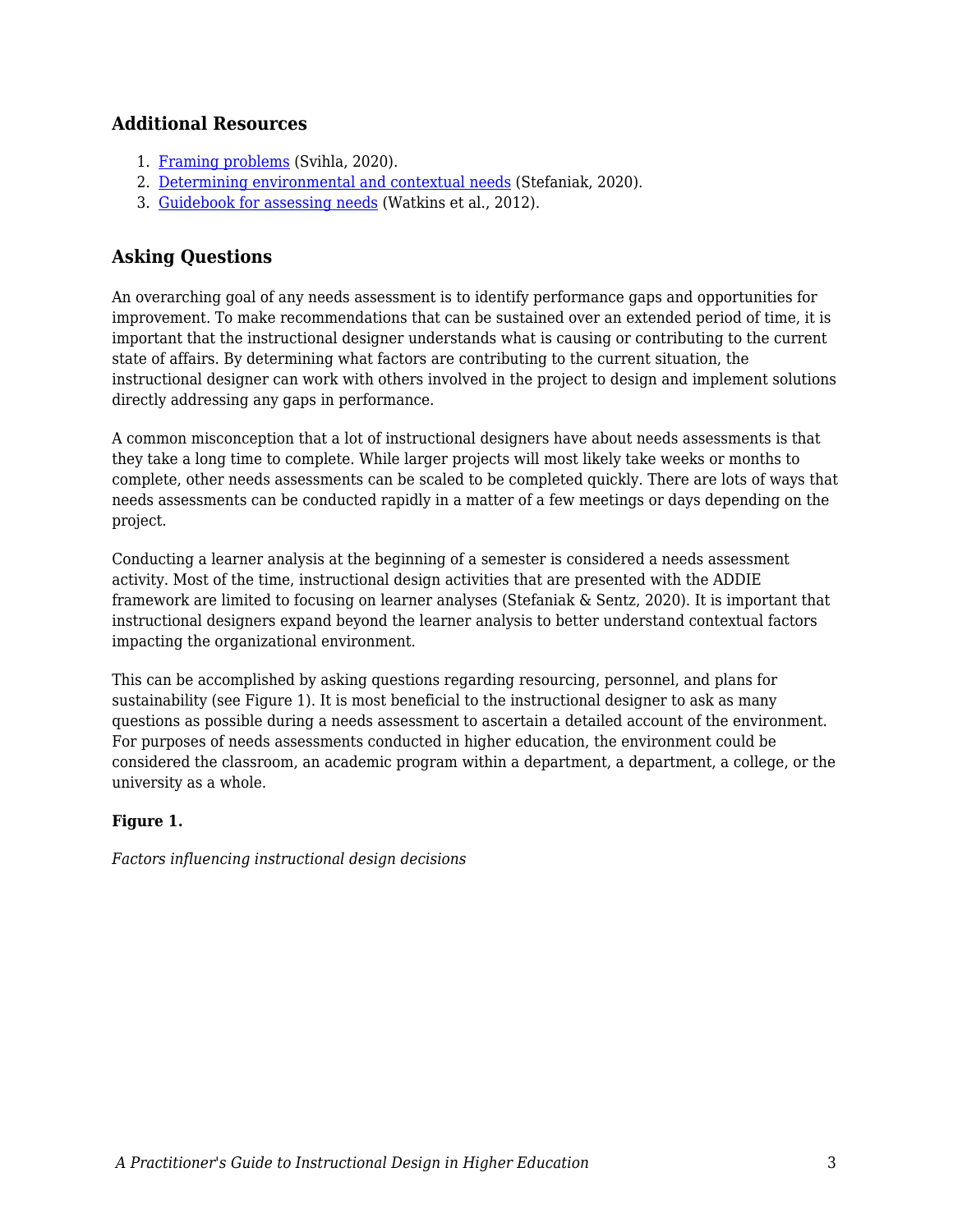#### **Additional Resources**

- 1. [Framing problems](https://edtechbooks.org/id/problem_framing) (Svihla, 2020).
- 2. [Determining environmental and contextual needs](https://edtechbooks.org/id/needs_analysis) (Stefaniak, 2020).
- 3. [Guidebook for assessing needs](https://wesharescience.com/na/guidebook.html) (Watkins et al., 2012).

### **Asking Questions**

An overarching goal of any needs assessment is to identify performance gaps and opportunities for improvement. To make recommendations that can be sustained over an extended period of time, it is important that the instructional designer understands what is causing or contributing to the current state of affairs. By determining what factors are contributing to the current situation, the instructional designer can work with others involved in the project to design and implement solutions directly addressing any gaps in performance.

A common misconception that a lot of instructional designers have about needs assessments is that they take a long time to complete. While larger projects will most likely take weeks or months to complete, other needs assessments can be scaled to be completed quickly. There are lots of ways that needs assessments can be conducted rapidly in a matter of a few meetings or days depending on the project.

Conducting a learner analysis at the beginning of a semester is considered a needs assessment activity. Most of the time, instructional design activities that are presented with the ADDIE framework are limited to focusing on learner analyses (Stefaniak & Sentz, 2020). It is important that instructional designers expand beyond the learner analysis to better understand contextual factors impacting the organizational environment.

This can be accomplished by asking questions regarding resourcing, personnel, and plans for sustainability (see Figure 1). It is most beneficial to the instructional designer to ask as many questions as possible during a needs assessment to ascertain a detailed account of the environment. For purposes of needs assessments conducted in higher education, the environment could be considered the classroom, an academic program within a department, a department, a college, or the university as a whole.

#### **Figure 1.**

*Factors influencing instructional design decisions*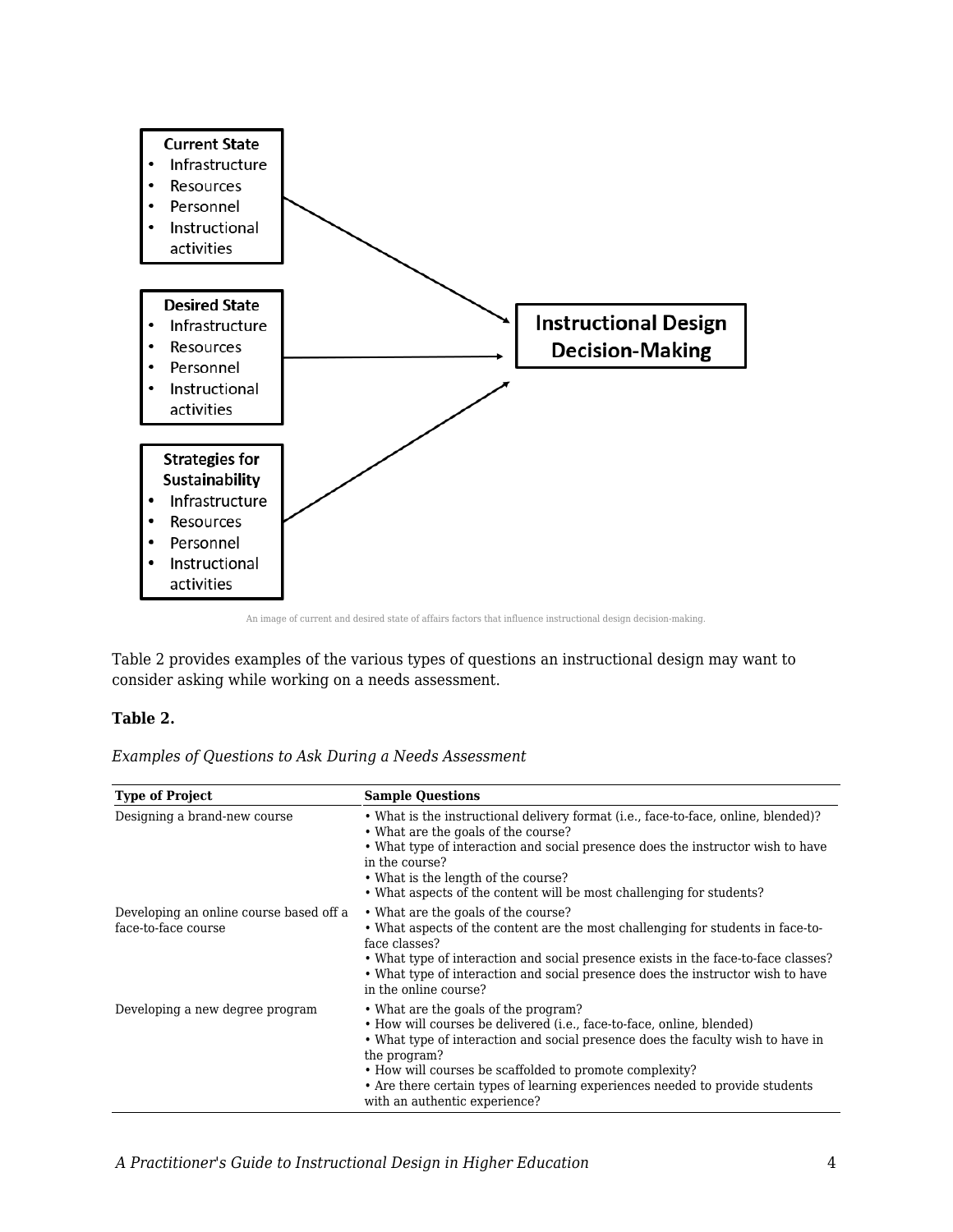

An image of current and desired state of affairs factors that influence instructional design decision-making.

Table 2 provides examples of the various types of questions an instructional design may want to consider asking while working on a needs assessment.

#### **Table 2.**

|  |  |  | Examples of Questions to Ask During a Needs Assessment |
|--|--|--|--------------------------------------------------------|
|--|--|--|--------------------------------------------------------|

| <b>Type of Project</b>                                         | <b>Sample Questions</b>                                                                                                                                                                                                                                                                                                                                                                      |
|----------------------------------------------------------------|----------------------------------------------------------------------------------------------------------------------------------------------------------------------------------------------------------------------------------------------------------------------------------------------------------------------------------------------------------------------------------------------|
| Designing a brand-new course                                   | • What is the instructional delivery format (i.e., face-to-face, online, blended)?<br>• What are the goals of the course?<br>• What type of interaction and social presence does the instructor wish to have<br>in the course?<br>• What is the length of the course?<br>• What aspects of the content will be most challenging for students?                                                |
| Developing an online course based off a<br>face-to-face course | • What are the goals of the course?<br>• What aspects of the content are the most challenging for students in face-to-<br>face classes?<br>• What type of interaction and social presence exists in the face-to-face classes?<br>• What type of interaction and social presence does the instructor wish to have<br>in the online course?                                                    |
| Developing a new degree program                                | • What are the goals of the program?<br>• How will courses be delivered (i.e., face-to-face, online, blended)<br>• What type of interaction and social presence does the faculty wish to have in<br>the program?<br>• How will courses be scaffolded to promote complexity?<br>• Are there certain types of learning experiences needed to provide students<br>with an authentic experience? |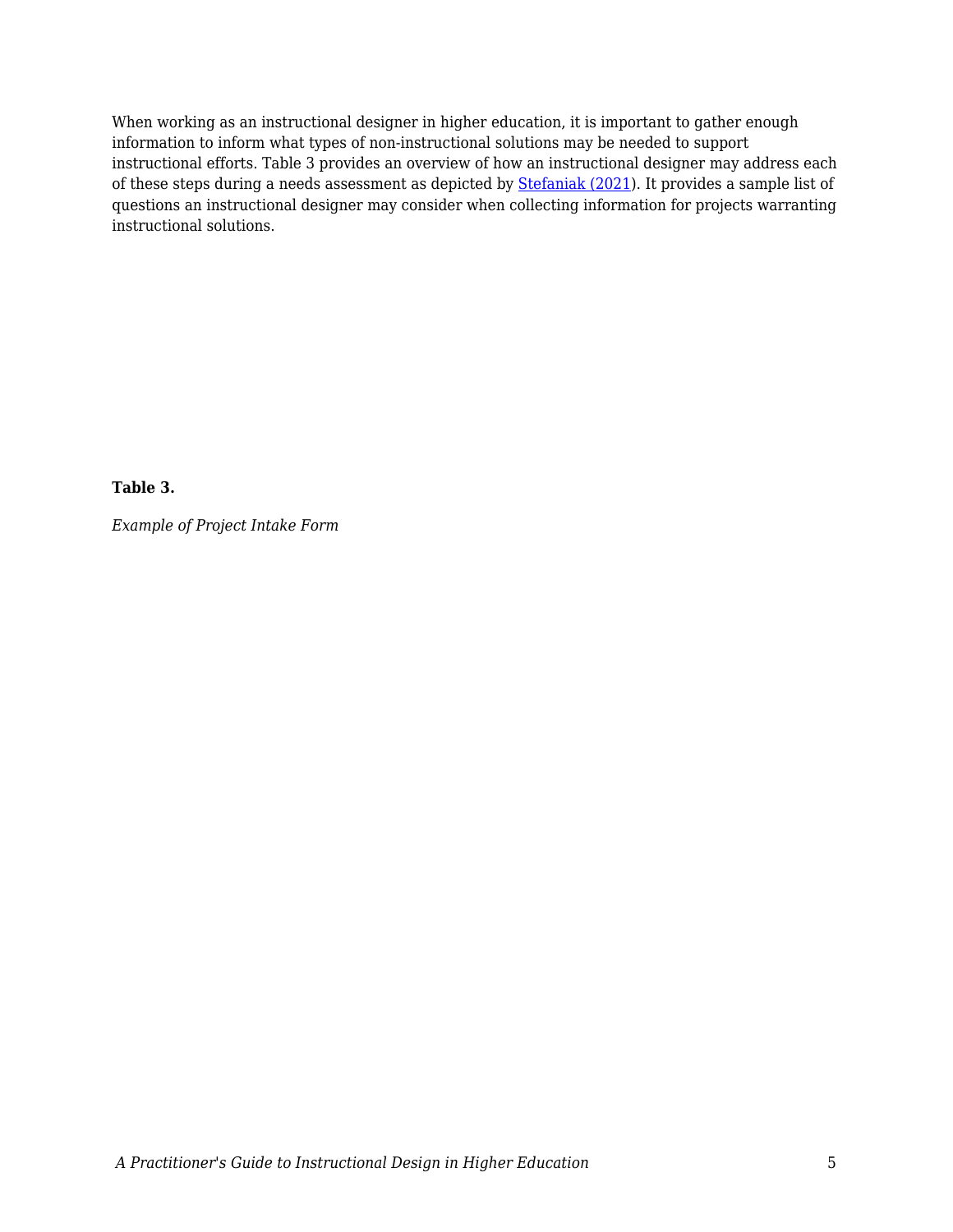When working as an instructional designer in higher education, it is important to gather enough information to inform what types of non-instructional solutions may be needed to support instructional efforts. Table 3 provides an overview of how an instructional designer may address each of these steps during a needs assessment as depicted by [Stefaniak \(2021\)](https://edtechbooks.org/id/needs_analysis). It provides a sample list of questions an instructional designer may consider when collecting information for projects warranting instructional solutions.

**Table 3.**

*Example of Project Intake Form*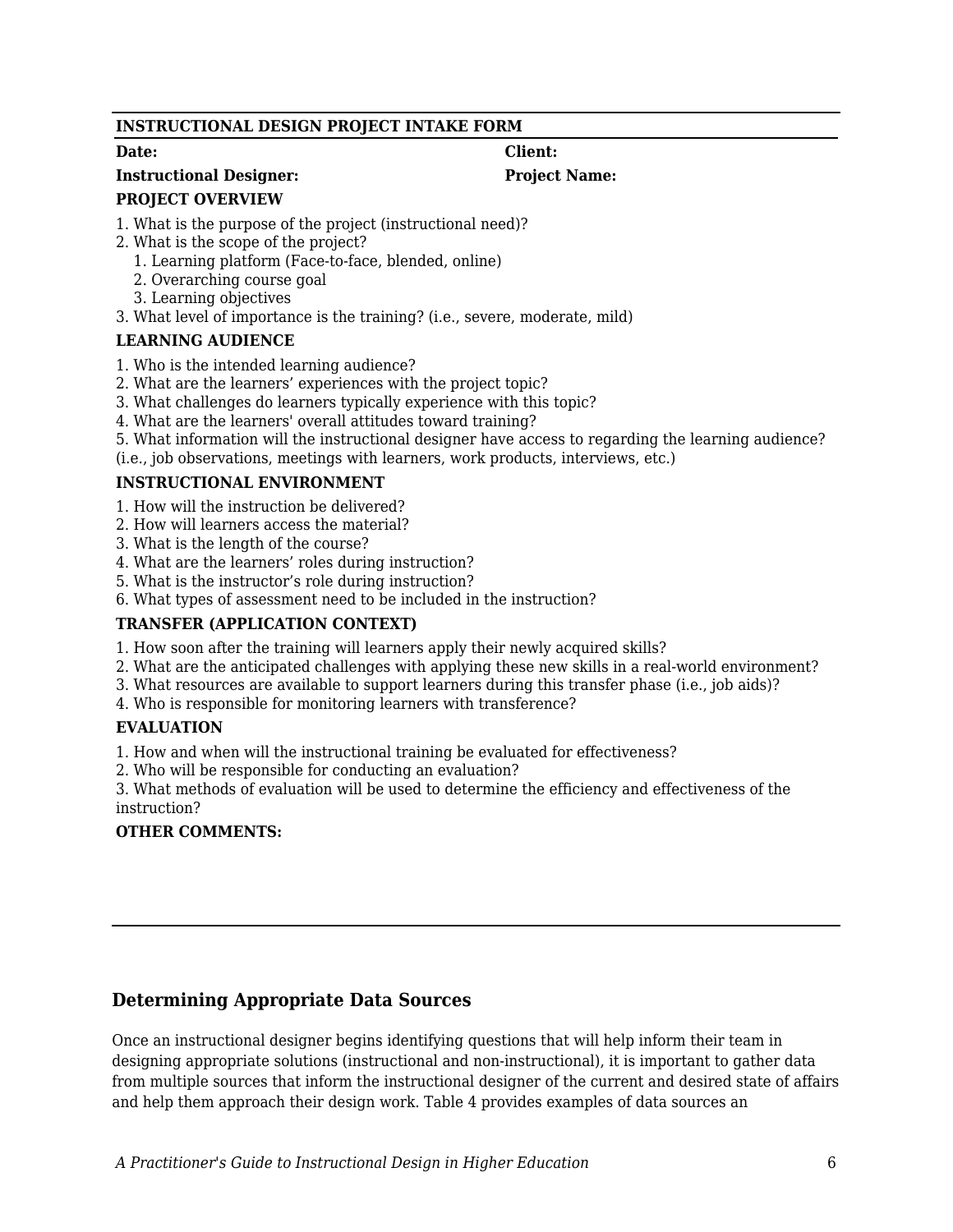#### **INSTRUCTIONAL DESIGN PROJECT INTAKE FORM**

#### **Instructional Designer: Project Name:**

#### **PROJECT OVERVIEW**

- 1. What is the purpose of the project (instructional need)?
- 2. What is the scope of the project?
	- 1. Learning platform (Face-to-face, blended, online)
	- 2. Overarching course goal
	- 3. Learning objectives
- 3. What level of importance is the training? (i.e., severe, moderate, mild)

#### **LEARNING AUDIENCE**

- 1. Who is the intended learning audience?
- 2. What are the learners' experiences with the project topic?
- 3. What challenges do learners typically experience with this topic?
- 4. What are the learners' overall attitudes toward training?
- 5. What information will the instructional designer have access to regarding the learning audience?
- (i.e., job observations, meetings with learners, work products, interviews, etc.)

#### **INSTRUCTIONAL ENVIRONMENT**

- 1. How will the instruction be delivered?
- 2. How will learners access the material?
- 3. What is the length of the course?
- 4. What are the learners' roles during instruction?
- 5. What is the instructor's role during instruction?
- 6. What types of assessment need to be included in the instruction?

#### **TRANSFER (APPLICATION CONTEXT)**

- 1. How soon after the training will learners apply their newly acquired skills?
- 2. What are the anticipated challenges with applying these new skills in a real-world environment?
- 3. What resources are available to support learners during this transfer phase (i.e., job aids)?
- 4. Who is responsible for monitoring learners with transference?

#### **EVALUATION**

1. How and when will the instructional training be evaluated for effectiveness?

2. Who will be responsible for conducting an evaluation?

3. What methods of evaluation will be used to determine the efficiency and effectiveness of the instruction?

#### **OTHER COMMENTS:**

### **Determining Appropriate Data Sources**

Once an instructional designer begins identifying questions that will help inform their team in designing appropriate solutions (instructional and non-instructional), it is important to gather data from multiple sources that inform the instructional designer of the current and desired state of affairs and help them approach their design work. Table 4 provides examples of data sources an

## **Date: Client:**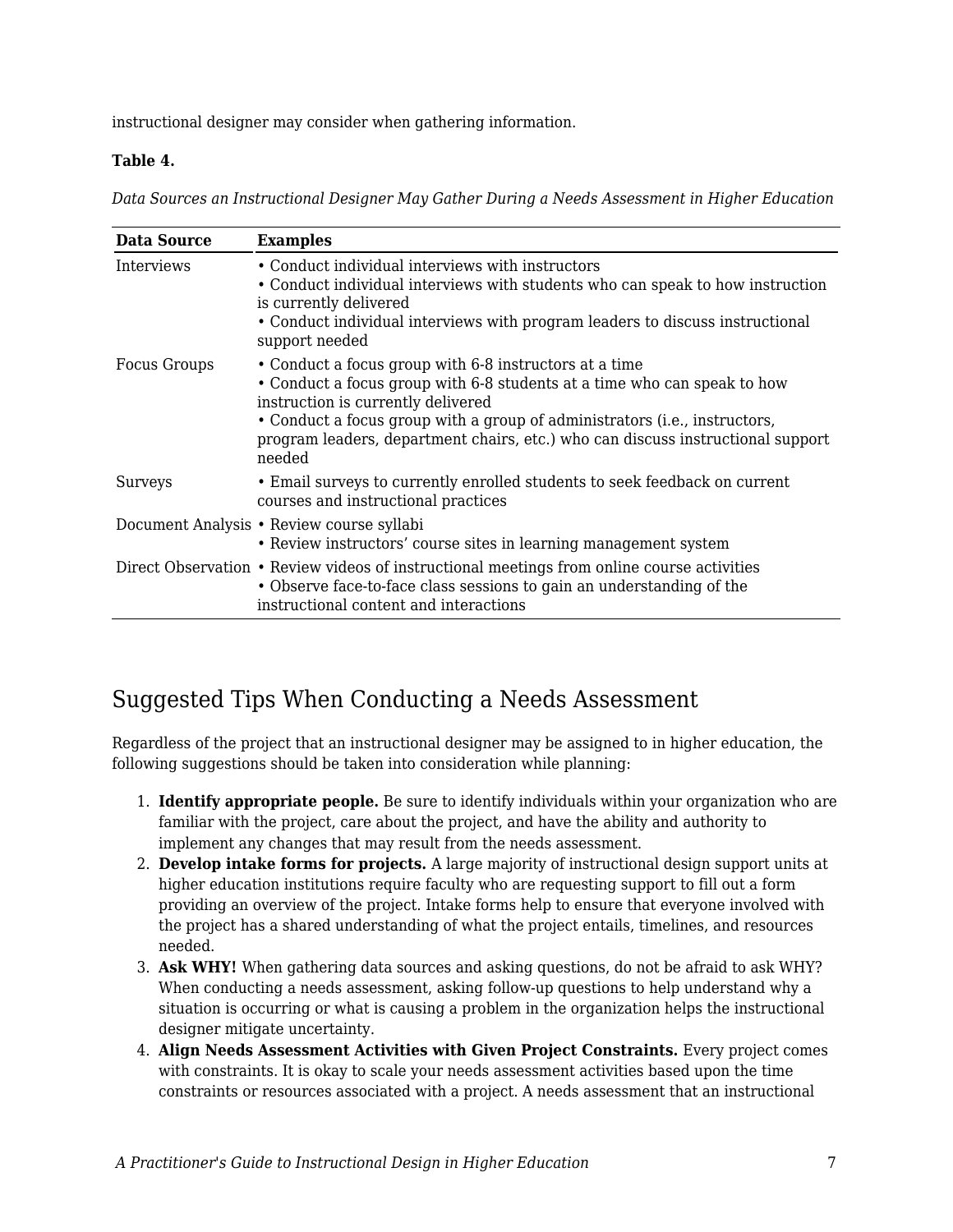instructional designer may consider when gathering information.

#### **Table 4.**

*Data Sources an Instructional Designer May Gather During a Needs Assessment in Higher Education*

| <b>Data Source</b>  | <b>Examples</b>                                                                                                                                                                                                                                                                                                                                     |
|---------------------|-----------------------------------------------------------------------------------------------------------------------------------------------------------------------------------------------------------------------------------------------------------------------------------------------------------------------------------------------------|
| Interviews          | • Conduct individual interviews with instructors<br>• Conduct individual interviews with students who can speak to how instruction<br>is currently delivered<br>• Conduct individual interviews with program leaders to discuss instructional<br>support needed                                                                                     |
| <b>Focus Groups</b> | • Conduct a focus group with 6-8 instructors at a time<br>• Conduct a focus group with 6-8 students at a time who can speak to how<br>instruction is currently delivered<br>• Conduct a focus group with a group of administrators (i.e., instructors,<br>program leaders, department chairs, etc.) who can discuss instructional support<br>needed |
| <b>Surveys</b>      | • Email surveys to currently enrolled students to seek feedback on current<br>courses and instructional practices                                                                                                                                                                                                                                   |
|                     | Document Analysis • Review course syllabi<br>• Review instructors' course sites in learning management system                                                                                                                                                                                                                                       |
|                     | Direct Observation • Review videos of instructional meetings from online course activities<br>• Observe face-to-face class sessions to gain an understanding of the<br>instructional content and interactions                                                                                                                                       |

## Suggested Tips When Conducting a Needs Assessment

Regardless of the project that an instructional designer may be assigned to in higher education, the following suggestions should be taken into consideration while planning:

- 1. **Identify appropriate people.** Be sure to identify individuals within your organization who are familiar with the project, care about the project, and have the ability and authority to implement any changes that may result from the needs assessment.
- 2. **Develop intake forms for projects.** A large majority of instructional design support units at higher education institutions require faculty who are requesting support to fill out a form providing an overview of the project. Intake forms help to ensure that everyone involved with the project has a shared understanding of what the project entails, timelines, and resources needed.
- 3. **Ask WHY!** When gathering data sources and asking questions, do not be afraid to ask WHY? When conducting a needs assessment, asking follow-up questions to help understand why a situation is occurring or what is causing a problem in the organization helps the instructional designer mitigate uncertainty.
- 4. **Align Needs Assessment Activities with Given Project Constraints.** Every project comes with constraints. It is okay to scale your needs assessment activities based upon the time constraints or resources associated with a project. A needs assessment that an instructional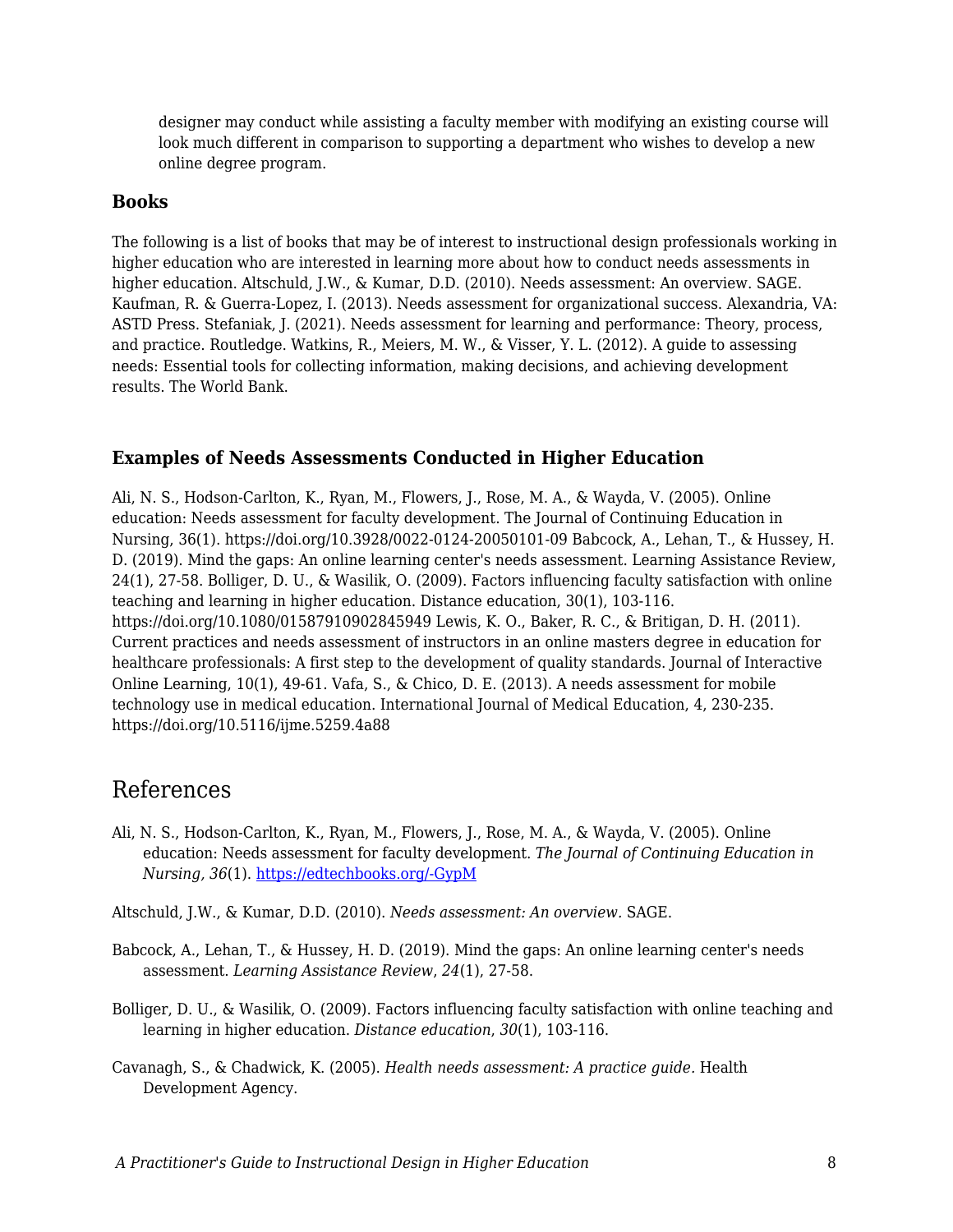designer may conduct while assisting a faculty member with modifying an existing course will look much different in comparison to supporting a department who wishes to develop a new online degree program.

#### **Books**

The following is a list of books that may be of interest to instructional design professionals working in higher education who are interested in learning more about how to conduct needs assessments in higher education. Altschuld, J.W., & Kumar, D.D. (2010). Needs assessment: An overview. SAGE. Kaufman, R. & Guerra-Lopez, I. (2013). Needs assessment for organizational success. Alexandria, VA: ASTD Press. Stefaniak, J. (2021). Needs assessment for learning and performance: Theory, process, and practice. Routledge. Watkins, R., Meiers, M. W., & Visser, Y. L. (2012). A guide to assessing needs: Essential tools for collecting information, making decisions, and achieving development results. The World Bank.

#### **Examples of Needs Assessments Conducted in Higher Education**

Ali, N. S., Hodson-Carlton, K., Ryan, M., Flowers, J., Rose, M. A., & Wayda, V. (2005). Online education: Needs assessment for faculty development. The Journal of Continuing Education in Nursing, 36(1). https://doi.org/10.3928/0022-0124-20050101-09 Babcock, A., Lehan, T., & Hussey, H. D. (2019). Mind the gaps: An online learning center's needs assessment. Learning Assistance Review, 24(1), 27-58. Bolliger, D. U., & Wasilik, O. (2009). Factors influencing faculty satisfaction with online teaching and learning in higher education. Distance education, 30(1), 103-116. https://doi.org/10.1080/01587910902845949 Lewis, K. O., Baker, R. C., & Britigan, D. H. (2011). Current practices and needs assessment of instructors in an online masters degree in education for healthcare professionals: A first step to the development of quality standards. Journal of Interactive Online Learning, 10(1), 49-61. Vafa, S., & Chico, D. E. (2013). A needs assessment for mobile technology use in medical education. International Journal of Medical Education, 4, 230-235. https://doi.org/10.5116/ijme.5259.4a88

## References

- Ali, N. S., Hodson-Carlton, K., Ryan, M., Flowers, J., Rose, M. A., & Wayda, V. (2005). Online education: Needs assessment for faculty development. *The Journal of Continuing Education in Nursing, 36*(1). [https://edtechbooks.org/-GypM](https://doi.org/10.3928/0022-0124-20050101-09)
- Altschuld, J.W., & Kumar, D.D. (2010). *Needs assessment: An overview.* SAGE.
- Babcock, A., Lehan, T., & Hussey, H. D. (2019). Mind the gaps: An online learning center's needs assessment. *Learning Assistance Review*, *24*(1), 27-58.
- Bolliger, D. U., & Wasilik, O. (2009). Factors influencing faculty satisfaction with online teaching and learning in higher education. *Distance education*, *30*(1), 103-116.
- Cavanagh, S., & Chadwick, K. (2005). *Health needs assessment: A practice guide.* Health Development Agency.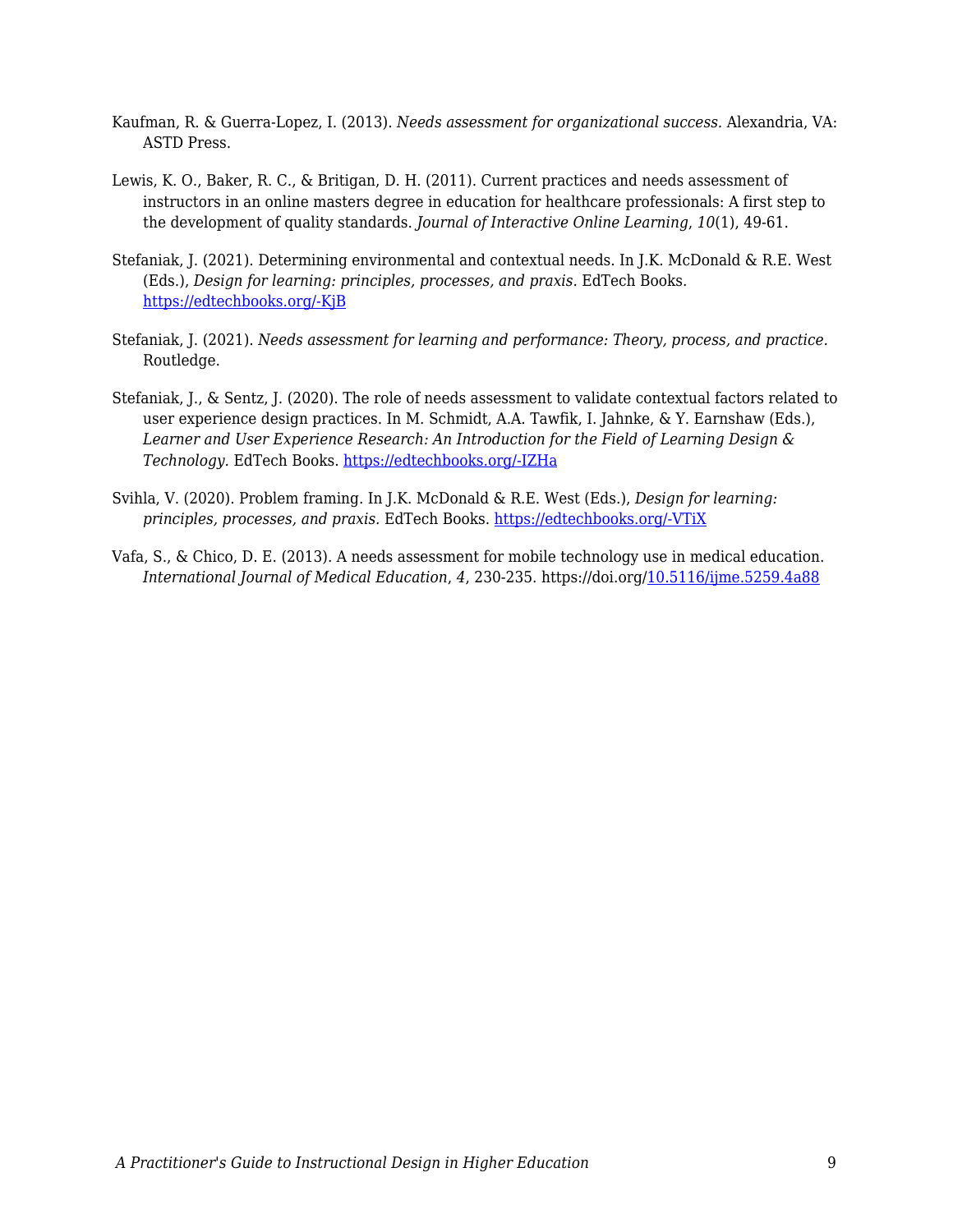- Kaufman, R. & Guerra-Lopez, I. (2013). *Needs assessment for organizational success.* Alexandria, VA: ASTD Press.
- Lewis, K. O., Baker, R. C., & Britigan, D. H. (2011). Current practices and needs assessment of instructors in an online masters degree in education for healthcare professionals: A first step to the development of quality standards. *Journal of Interactive Online Learning*, *10*(1), 49-61.
- Stefaniak, J. (2021). Determining environmental and contextual needs. In J.K. McDonald & R.E. West (Eds.), *Design for learning: principles, processes, and praxis.* EdTech Books. [https://edtechbooks.org/-KjB](http://edtechbooks.org/id/needs_analysis)
- Stefaniak, J. (2021). *Needs assessment for learning and performance: Theory, process, and practice.* Routledge.
- Stefaniak, J., & Sentz, J. (2020). The role of needs assessment to validate contextual factors related to user experience design practices. In M. Schmidt, A.A. Tawfik, I. Jahnke, & Y. Earnshaw (Eds.), *Learner and User Experience Research: An Introduction for the Field of Learning Design & Technology.* EdTech Books. [https://edtechbooks.org/-IZHa](https://edtechbooks.org/ux/role_of_needs_assessment)
- Svihla, V. (2020). Problem framing. In J.K. McDonald & R.E. West (Eds.), *Design for learning: principles, processes, and praxis.* EdTech Books. [https://edtechbooks.org/-VTiX](https://edtechbooks.org/id/problem_framing)
- Vafa, S., & Chico, D. E. (2013). A needs assessment for mobile technology use in medical education. *International Journal of Medical Education*, *4*, 230-235. https://doi.org/[10.5116/ijme.5259.4a88](https://dx.doi.org/10.5116/ijme.5259.4a88)